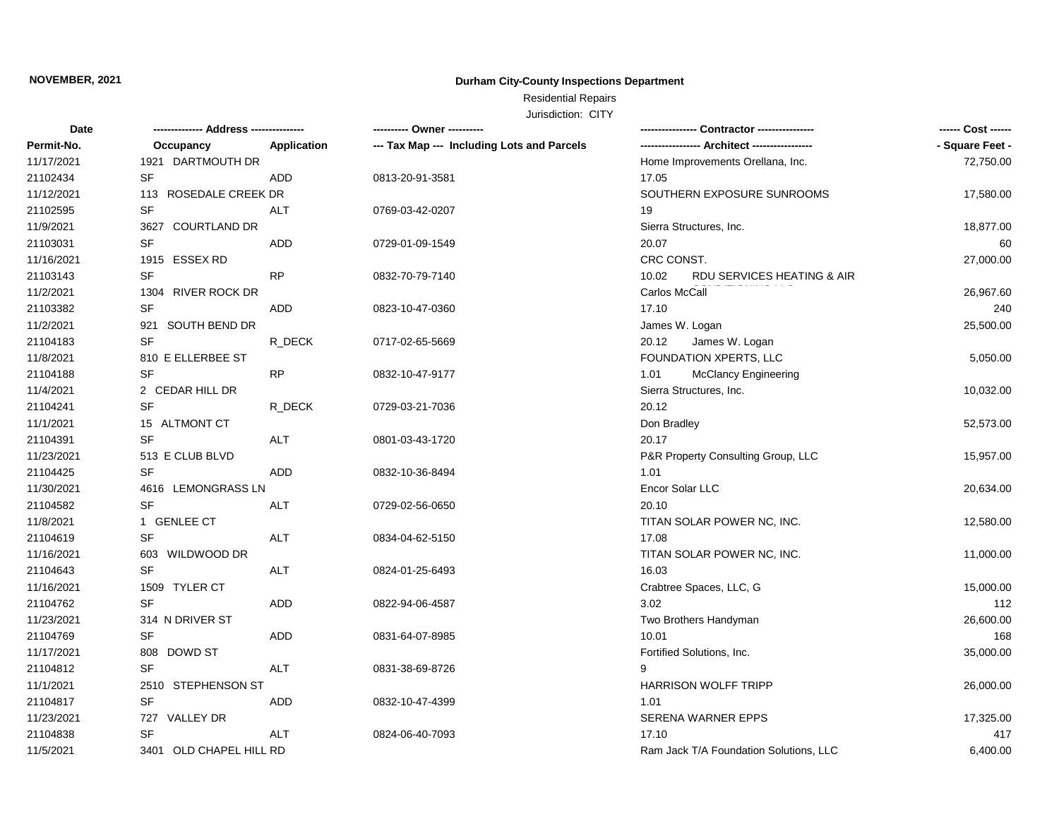## **Durham City-County Inspections Department**

# Residential Repairs

| <b>Date</b> | -------------- Address --------------- |                    | ---------- Owner ----------                |                                        | ------ Cost ------ |
|-------------|----------------------------------------|--------------------|--------------------------------------------|----------------------------------------|--------------------|
| Permit-No.  | Occupancy                              | <b>Application</b> | --- Tax Map --- Including Lots and Parcels |                                        | - Square Feet -    |
| 11/17/2021  | 1921 DARTMOUTH DR                      |                    |                                            | Home Improvements Orellana, Inc.       | 72,750.00          |
| 21102434    | SF                                     | ADD                | 0813-20-91-3581                            | 17.05                                  |                    |
| 11/12/2021  | 113 ROSEDALE CREEK DR                  |                    |                                            | SOUTHERN EXPOSURE SUNROOMS             | 17,580.00          |
| 21102595    | SF                                     | ALT                | 0769-03-42-0207                            | 19                                     |                    |
| 11/9/2021   | 3627 COURTLAND DR                      |                    |                                            | Sierra Structures, Inc.                | 18,877.00          |
| 21103031    | SF                                     | <b>ADD</b>         | 0729-01-09-1549                            | 20.07                                  | 60                 |
| 11/16/2021  | 1915 ESSEX RD                          |                    |                                            | CRC CONST.                             | 27,000.00          |
| 21103143    | <b>SF</b>                              | <b>RP</b>          | 0832-70-79-7140                            | 10.02<br>RDU SERVICES HEATING & AIR    |                    |
| 11/2/2021   | 1304 RIVER ROCK DR                     |                    |                                            | Carlos McCall                          | 26,967.60          |
| 21103382    | SF                                     | <b>ADD</b>         | 0823-10-47-0360                            | 17.10                                  | 240                |
| 11/2/2021   | 921 SOUTH BEND DR                      |                    |                                            | James W. Logan                         | 25,500.00          |
| 21104183    | <b>SF</b>                              | R DECK             | 0717-02-65-5669                            | 20.12<br>James W. Logan                |                    |
| 11/8/2021   | 810 E ELLERBEE ST                      |                    |                                            | FOUNDATION XPERTS, LLC                 | 5,050.00           |
| 21104188    | SF                                     | <b>RP</b>          | 0832-10-47-9177                            | 1.01<br>McClancy Engineering           |                    |
| 11/4/2021   | 2 CEDAR HILL DR                        |                    |                                            | Sierra Structures, Inc.                | 10,032.00          |
| 21104241    | <b>SF</b>                              | R DECK             | 0729-03-21-7036                            | 20.12                                  |                    |
| 11/1/2021   | 15 ALTMONT CT                          |                    |                                            | Don Bradley                            | 52,573.00          |
| 21104391    | <b>SF</b>                              | ALT                | 0801-03-43-1720                            | 20.17                                  |                    |
| 11/23/2021  | 513 E CLUB BLVD                        |                    |                                            | P&R Property Consulting Group, LLC     | 15,957.00          |
| 21104425    | <b>SF</b>                              | <b>ADD</b>         | 0832-10-36-8494                            | 1.01                                   |                    |
| 11/30/2021  | 4616 LEMONGRASS LN                     |                    |                                            | Encor Solar LLC                        | 20,634.00          |
| 21104582    | <b>SF</b>                              | <b>ALT</b>         | 0729-02-56-0650                            | 20.10                                  |                    |
| 11/8/2021   | 1 GENLEE CT                            |                    |                                            | TITAN SOLAR POWER NC, INC.             | 12,580.00          |
| 21104619    | <b>SF</b>                              | <b>ALT</b>         | 0834-04-62-5150                            | 17.08                                  |                    |
| 11/16/2021  | 603 WILDWOOD DR                        |                    |                                            | TITAN SOLAR POWER NC, INC.             | 11,000.00          |
| 21104643    | <b>SF</b>                              | <b>ALT</b>         | 0824-01-25-6493                            | 16.03                                  |                    |
| 11/16/2021  | 1509 TYLER CT                          |                    |                                            | Crabtree Spaces, LLC, G                | 15,000.00          |
| 21104762    | <b>SF</b>                              | <b>ADD</b>         | 0822-94-06-4587                            | 3.02                                   | 112                |
| 11/23/2021  | 314 N DRIVER ST                        |                    |                                            | Two Brothers Handyman                  | 26,600.00          |
| 21104769    | SF                                     | <b>ADD</b>         | 0831-64-07-8985                            | 10.01                                  | 168                |
| 11/17/2021  | 808 DOWD ST                            |                    |                                            | Fortified Solutions, Inc.              | 35,000.00          |
| 21104812    | <b>SF</b>                              | <b>ALT</b>         | 0831-38-69-8726                            | 9                                      |                    |
| 11/1/2021   | 2510 STEPHENSON ST                     |                    |                                            | <b>HARRISON WOLFF TRIPP</b>            | 26,000.00          |
| 21104817    | SF                                     | <b>ADD</b>         | 0832-10-47-4399                            | 1.01                                   |                    |
| 11/23/2021  | 727 VALLEY DR                          |                    |                                            | <b>SERENA WARNER EPPS</b>              | 17,325.00          |
| 21104838    | <b>SF</b>                              | ALT                | 0824-06-40-7093                            | 17.10                                  | 417                |
| 11/5/2021   | 3401 OLD CHAPEL HILL RD                |                    |                                            | Ram Jack T/A Foundation Solutions, LLC | 6,400.00           |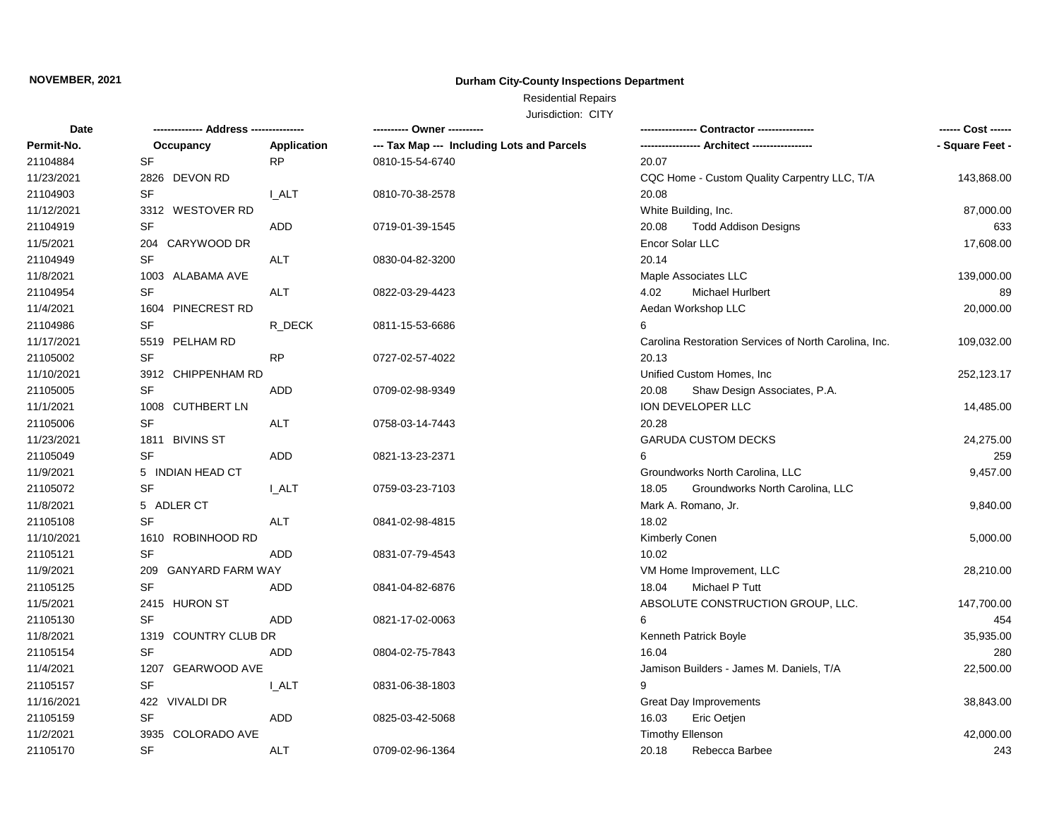## **Durham City-County Inspections Department**

# Residential Repairs

| Date       |                      |              | ---------- Owner ----------                | Contractor ---------------                            | ------ Cost ------ |
|------------|----------------------|--------------|--------------------------------------------|-------------------------------------------------------|--------------------|
| Permit-No. | Occupancy            | Application  | --- Tax Map --- Including Lots and Parcels |                                                       | - Square Feet -    |
| 21104884   | <b>SF</b>            | <b>RP</b>    | 0810-15-54-6740                            | 20.07                                                 |                    |
| 11/23/2021 | 2826 DEVON RD        |              |                                            | CQC Home - Custom Quality Carpentry LLC, T/A          | 143,868.00         |
| 21104903   | SF                   | <b>I_ALT</b> | 0810-70-38-2578                            | 20.08                                                 |                    |
| 11/12/2021 | 3312 WESTOVER RD     |              |                                            | White Building, Inc.                                  | 87,000.00          |
| 21104919   | SF                   | ADD          | 0719-01-39-1545                            | 20.08<br><b>Todd Addison Designs</b>                  | 633                |
| 11/5/2021  | 204 CARYWOOD DR      |              |                                            | Encor Solar LLC                                       | 17,608.00          |
| 21104949   | SF                   | <b>ALT</b>   | 0830-04-82-3200                            | 20.14                                                 |                    |
| 11/8/2021  | 1003 ALABAMA AVE     |              |                                            | Maple Associates LLC                                  | 139,000.00         |
| 21104954   | SF                   | <b>ALT</b>   | 0822-03-29-4423                            | 4.02<br><b>Michael Hurlbert</b>                       | 89                 |
| 11/4/2021  | 1604 PINECREST RD    |              |                                            | Aedan Workshop LLC                                    | 20,000.00          |
| 21104986   | <b>SF</b>            | R DECK       | 0811-15-53-6686                            | 6                                                     |                    |
| 11/17/2021 | 5519 PELHAM RD       |              |                                            | Carolina Restoration Services of North Carolina, Inc. | 109,032.00         |
| 21105002   | <b>SF</b>            | <b>RP</b>    | 0727-02-57-4022                            | 20.13                                                 |                    |
| 11/10/2021 | 3912 CHIPPENHAM RD   |              |                                            | Unified Custom Homes, Inc.                            | 252,123.17         |
| 21105005   | <b>SF</b>            | ADD          | 0709-02-98-9349                            | 20.08<br>Shaw Design Associates, P.A.                 |                    |
| 11/1/2021  | 1008 CUTHBERT LN     |              |                                            | ION DEVELOPER LLC                                     | 14,485.00          |
| 21105006   | SF                   | <b>ALT</b>   | 0758-03-14-7443                            | 20.28                                                 |                    |
| 11/23/2021 | 1811 BIVINS ST       |              |                                            | <b>GARUDA CUSTOM DECKS</b>                            | 24,275.00          |
| 21105049   | <b>SF</b>            | ADD          | 0821-13-23-2371                            |                                                       | 259                |
| 11/9/2021  | 5 INDIAN HEAD CT     |              |                                            | Groundworks North Carolina, LLC                       | 9,457.00           |
| 21105072   | <b>SF</b>            | I ALT        | 0759-03-23-7103                            | Groundworks North Carolina, LLC<br>18.05              |                    |
| 11/8/2021  | 5 ADLER CT           |              |                                            | Mark A. Romano, Jr.                                   | 9,840.00           |
| 21105108   | SF                   | <b>ALT</b>   | 0841-02-98-4815                            | 18.02                                                 |                    |
| 11/10/2021 | 1610 ROBINHOOD RD    |              |                                            | Kimberly Conen                                        | 5,000.00           |
| 21105121   | SF                   | ADD          | 0831-07-79-4543                            | 10.02                                                 |                    |
| 11/9/2021  | 209 GANYARD FARM WAY |              |                                            | VM Home Improvement, LLC                              | 28,210.00          |
| 21105125   | <b>SF</b>            | ADD          | 0841-04-82-6876                            | 18.04<br>Michael P Tutt                               |                    |
| 11/5/2021  | 2415 HURON ST        |              |                                            | ABSOLUTE CONSTRUCTION GROUP, LLC.                     | 147,700.00         |
| 21105130   | <b>SF</b>            | ADD          | 0821-17-02-0063                            | 6                                                     | 454                |
| 11/8/2021  | 1319 COUNTRY CLUB DR |              |                                            | Kenneth Patrick Boyle                                 | 35,935.00          |
| 21105154   | SF                   | ADD          | 0804-02-75-7843                            | 16.04                                                 | 280                |
| 11/4/2021  | 1207 GEARWOOD AVE    |              |                                            | Jamison Builders - James M. Daniels, T/A              | 22,500.00          |
| 21105157   | SF                   | <b>LALT</b>  | 0831-06-38-1803                            | 9                                                     |                    |
| 11/16/2021 | 422 VIVALDI DR       |              |                                            | <b>Great Day Improvements</b>                         | 38,843.00          |
| 21105159   | SF                   | ADD          | 0825-03-42-5068                            | 16.03<br>Eric Oetjen                                  |                    |
| 11/2/2021  | 3935 COLORADO AVE    |              |                                            | <b>Timothy Ellenson</b>                               | 42,000.00          |
| 21105170   | <b>SF</b>            | ALT          | 0709-02-96-1364                            | Rebecca Barbee<br>20.18                               | 243                |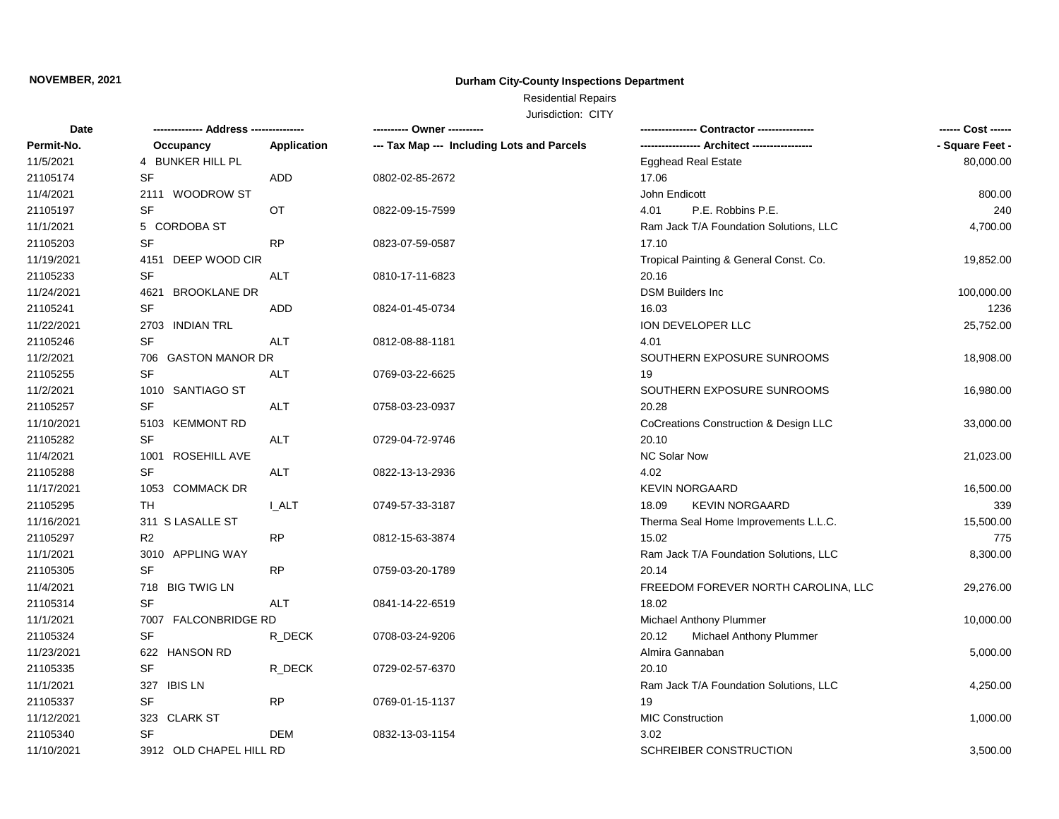## **Durham City-County Inspections Department**

# Residential Repairs

| <b>Date</b> | -------------- Address --------------- |              | ---------- Owner ----------                |                                        | ------ Cost ------ |
|-------------|----------------------------------------|--------------|--------------------------------------------|----------------------------------------|--------------------|
| Permit-No.  | Occupancy                              | Application  | --- Tax Map --- Including Lots and Parcels |                                        | - Square Feet -    |
| 11/5/2021   | 4 BUNKER HILL PL                       |              |                                            | <b>Egghead Real Estate</b>             | 80,000.00          |
| 21105174    | SF                                     | ADD          | 0802-02-85-2672                            | 17.06                                  |                    |
| 11/4/2021   | 2111 WOODROW ST                        |              |                                            | John Endicott                          | 800.00             |
| 21105197    | <b>SF</b>                              | <b>OT</b>    | 0822-09-15-7599                            | 4.01<br>P.E. Robbins P.E.              | 240                |
| 11/1/2021   | 5 CORDOBA ST                           |              |                                            | Ram Jack T/A Foundation Solutions, LLC | 4,700.00           |
| 21105203    | SF                                     | <b>RP</b>    | 0823-07-59-0587                            | 17.10                                  |                    |
| 11/19/2021  | DEEP WOOD CIR<br>4151                  |              |                                            | Tropical Painting & General Const. Co. | 19,852.00          |
| 21105233    | SF                                     | <b>ALT</b>   | 0810-17-11-6823                            | 20.16                                  |                    |
| 11/24/2021  | 4621<br><b>BROOKLANE DR</b>            |              |                                            | <b>DSM Builders Inc</b>                | 100,000.00         |
| 21105241    | SF                                     | <b>ADD</b>   | 0824-01-45-0734                            | 16.03                                  | 1236               |
| 11/22/2021  | 2703 INDIAN TRL                        |              |                                            | ION DEVELOPER LLC                      | 25,752.00          |
| 21105246    | SF                                     | <b>ALT</b>   | 0812-08-88-1181                            | 4.01                                   |                    |
| 11/2/2021   | 706 GASTON MANOR DR                    |              |                                            | SOUTHERN EXPOSURE SUNROOMS             | 18,908.00          |
| 21105255    | <b>SF</b>                              | <b>ALT</b>   | 0769-03-22-6625                            | 19                                     |                    |
| 11/2/2021   | 1010 SANTIAGO ST                       |              |                                            | SOUTHERN EXPOSURE SUNROOMS             | 16,980.00          |
| 21105257    | SF                                     | <b>ALT</b>   | 0758-03-23-0937                            | 20.28                                  |                    |
| 11/10/2021  | 5103 KEMMONT RD                        |              |                                            | CoCreations Construction & Design LLC  | 33,000.00          |
| 21105282    | <b>SF</b>                              | <b>ALT</b>   | 0729-04-72-9746                            | 20.10                                  |                    |
| 11/4/2021   | 1001 ROSEHILL AVE                      |              |                                            | NC Solar Now                           | 21,023.00          |
| 21105288    | <b>SF</b>                              | ALT          | 0822-13-13-2936                            | 4.02                                   |                    |
| 11/17/2021  | 1053 COMMACK DR                        |              |                                            | <b>KEVIN NORGAARD</b>                  | 16,500.00          |
| 21105295    | TH.                                    | <b>L_ALT</b> | 0749-57-33-3187                            | <b>KEVIN NORGAARD</b><br>18.09         | 339                |
| 11/16/2021  | 311 S LASALLE ST                       |              |                                            | Therma Seal Home Improvements L.L.C.   | 15,500.00          |
| 21105297    | R <sub>2</sub>                         | <b>RP</b>    | 0812-15-63-3874                            | 15.02                                  | 775                |
| 11/1/2021   | 3010 APPLING WAY                       |              |                                            | Ram Jack T/A Foundation Solutions, LLC | 8,300.00           |
| 21105305    | SF                                     | <b>RP</b>    | 0759-03-20-1789                            | 20.14                                  |                    |
| 11/4/2021   | 718 BIG TWIG LN                        |              |                                            | FREEDOM FOREVER NORTH CAROLINA, LLC    | 29,276.00          |
| 21105314    | <b>SF</b>                              | <b>ALT</b>   | 0841-14-22-6519                            | 18.02                                  |                    |
| 11/1/2021   | 7007 FALCONBRIDGE RD                   |              |                                            | Michael Anthony Plummer                | 10,000.00          |
| 21105324    | <b>SF</b>                              | R DECK       | 0708-03-24-9206                            | 20.12<br>Michael Anthony Plummer       |                    |
| 11/23/2021  | 622 HANSON RD                          |              |                                            | Almira Gannaban                        | 5,000.00           |
|             |                                        |              |                                            | 20.10                                  |                    |
| 21105335    | SF                                     | R DECK       | 0729-02-57-6370                            |                                        |                    |
| 11/1/2021   | 327 IBIS LN                            |              |                                            | Ram Jack T/A Foundation Solutions, LLC | 4,250.00           |
| 21105337    | <b>SF</b>                              | <b>RP</b>    | 0769-01-15-1137                            | 19                                     |                    |
| 11/12/2021  | 323 CLARK ST                           |              |                                            | <b>MIC Construction</b>                | 1,000.00           |
| 21105340    | SF                                     | DEM          | 0832-13-03-1154                            | 3.02                                   |                    |
| 11/10/2021  | 3912 OLD CHAPEL HILL RD                |              |                                            | SCHREIBER CONSTRUCTION                 | 3,500.00           |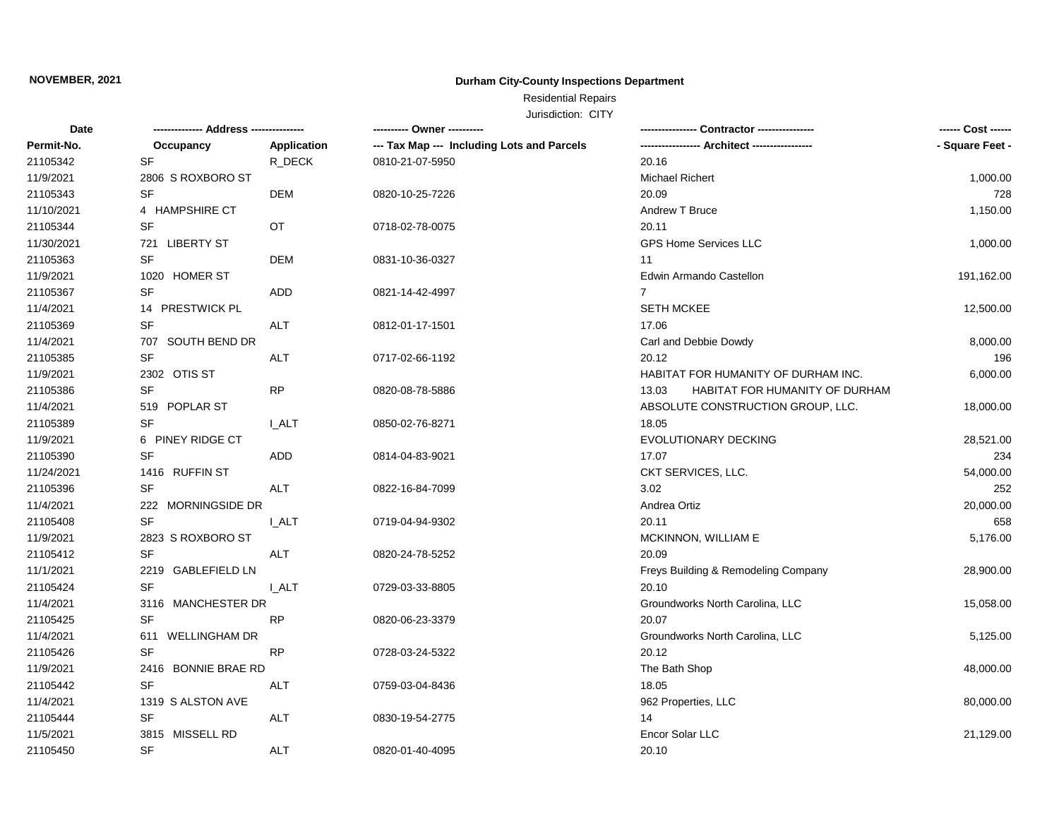## **Durham City-County Inspections Department**

# Residential Repairs

| Date       | -------------- Address --------------- |              | ---------- Owner ----------                | - Contractor ---------------            | ------ Cost ------ |
|------------|----------------------------------------|--------------|--------------------------------------------|-----------------------------------------|--------------------|
| Permit-No. | Occupancy                              | Application  | --- Tax Map --- Including Lots and Parcels |                                         | - Square Feet -    |
| 21105342   | SF                                     | R_DECK       | 0810-21-07-5950                            | 20.16                                   |                    |
| 11/9/2021  | 2806 S ROXBORO ST                      |              |                                            | Michael Richert                         | 1,000.00           |
| 21105343   | SF                                     | <b>DEM</b>   | 0820-10-25-7226                            | 20.09                                   | 728                |
| 11/10/2021 | 4 HAMPSHIRE CT                         |              |                                            | <b>Andrew T Bruce</b>                   | 1,150.00           |
| 21105344   | SF                                     | OT.          | 0718-02-78-0075                            | 20.11                                   |                    |
| 11/30/2021 | 721 LIBERTY ST                         |              |                                            | GPS Home Services LLC                   | 1,000.00           |
| 21105363   | $\ensuremath{\mathsf{SF}}\xspace$      | <b>DEM</b>   | 0831-10-36-0327                            | 11                                      |                    |
| 11/9/2021  | 1020 HOMER ST                          |              |                                            | Edwin Armando Castellon                 | 191,162.00         |
| 21105367   | SF                                     | ADD          | 0821-14-42-4997                            | $\overline{7}$                          |                    |
| 11/4/2021  | 14 PRESTWICK PL                        |              |                                            | <b>SETH MCKEE</b>                       | 12,500.00          |
| 21105369   | <b>SF</b>                              | <b>ALT</b>   | 0812-01-17-1501                            | 17.06                                   |                    |
| 11/4/2021  | 707 SOUTH BEND DR                      |              |                                            | Carl and Debbie Dowdy                   | 8,000.00           |
| 21105385   | SF                                     | <b>ALT</b>   | 0717-02-66-1192                            | 20.12                                   | 196                |
| 11/9/2021  | 2302 OTIS ST                           |              |                                            | HABITAT FOR HUMANITY OF DURHAM INC.     | 6,000.00           |
| 21105386   | SF                                     | <b>RP</b>    | 0820-08-78-5886                            | 13.03<br>HABITAT FOR HUMANITY OF DURHAM |                    |
| 11/4/2021  | 519 POPLAR ST                          |              |                                            | ABSOLUTE CONSTRUCTION GROUP, LLC.       | 18,000.00          |
| 21105389   | <b>SF</b>                              | I ALT        | 0850-02-76-8271                            | 18.05                                   |                    |
| 11/9/2021  | 6 PINEY RIDGE CT                       |              |                                            | <b>EVOLUTIONARY DECKING</b>             | 28,521.00          |
| 21105390   | <b>SF</b>                              | ADD          | 0814-04-83-9021                            | 17.07                                   | 234                |
| 11/24/2021 | 1416 RUFFIN ST                         |              |                                            | CKT SERVICES, LLC.                      | 54,000.00          |
| 21105396   | SF                                     | ALT          | 0822-16-84-7099                            | 3.02                                    | 252                |
| 11/4/2021  | 222 MORNINGSIDE DR                     |              |                                            | Andrea Ortiz                            | 20,000.00          |
| 21105408   | <b>SF</b>                              | <b>I_ALT</b> | 0719-04-94-9302                            | 20.11                                   | 658                |
| 11/9/2021  | 2823 S ROXBORO ST                      |              |                                            | MCKINNON, WILLIAM E                     | 5,176.00           |
| 21105412   | <b>SF</b>                              | ALT          | 0820-24-78-5252                            | 20.09                                   |                    |
| 11/1/2021  | 2219 GABLEFIELD LN                     |              |                                            | Freys Building & Remodeling Company     | 28,900.00          |
| 21105424   | <b>SF</b>                              | <b>I_ALT</b> | 0729-03-33-8805                            | 20.10                                   |                    |
| 11/4/2021  | 3116 MANCHESTER DR                     |              |                                            | Groundworks North Carolina, LLC         | 15,058.00          |
| 21105425   | <b>SF</b>                              | <b>RP</b>    | 0820-06-23-3379                            | 20.07                                   |                    |
| 11/4/2021  | 611 WELLINGHAM DR                      |              |                                            | Groundworks North Carolina, LLC         | 5,125.00           |
| 21105426   | <b>SF</b>                              | <b>RP</b>    | 0728-03-24-5322                            | 20.12                                   |                    |
| 11/9/2021  | 2416 BONNIE BRAE RD                    |              |                                            | The Bath Shop                           | 48,000.00          |
| 21105442   | SF                                     | ALT          | 0759-03-04-8436                            | 18.05                                   |                    |
| 11/4/2021  | 1319 S ALSTON AVE                      |              |                                            | 962 Properties, LLC                     | 80,000.00          |
| 21105444   | <b>SF</b>                              | <b>ALT</b>   | 0830-19-54-2775                            | 14                                      |                    |
| 11/5/2021  | 3815 MISSELL RD                        |              |                                            | Encor Solar LLC                         | 21,129.00          |
| 21105450   | SF                                     | <b>ALT</b>   | 0820-01-40-4095                            | 20.10                                   |                    |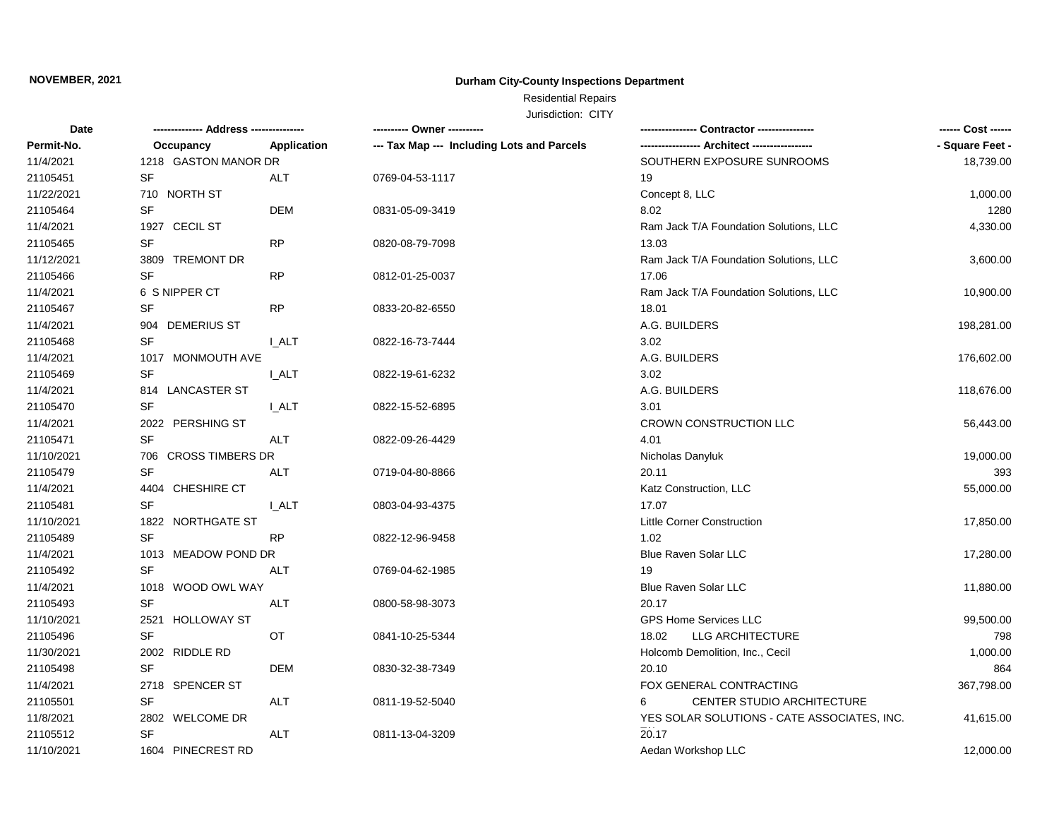## **Durham City-County Inspections Department**

# Residential Repairs

| Date       | -------------- Address --------------- |              |                                            | Contractor ----------------                 |                 |
|------------|----------------------------------------|--------------|--------------------------------------------|---------------------------------------------|-----------------|
| Permit-No. | Occupancy                              | Application  | --- Tax Map --- Including Lots and Parcels |                                             | - Square Feet - |
| 11/4/2021  | 1218 GASTON MANOR DR                   |              |                                            | SOUTHERN EXPOSURE SUNROOMS                  | 18,739.00       |
| 21105451   | SF                                     | ALT          | 0769-04-53-1117                            | 19                                          |                 |
| 11/22/2021 | 710 NORTH ST                           |              |                                            | Concept 8, LLC                              | 1,000.00        |
| 21105464   | <b>SF</b>                              | <b>DEM</b>   | 0831-05-09-3419                            | 8.02                                        | 1280            |
| 11/4/2021  | 1927 CECIL ST                          |              |                                            | Ram Jack T/A Foundation Solutions, LLC      | 4,330.00        |
| 21105465   | SF                                     | <b>RP</b>    | 0820-08-79-7098                            | 13.03                                       |                 |
| 11/12/2021 | 3809 TREMONT DR                        |              |                                            | Ram Jack T/A Foundation Solutions, LLC      | 3,600.00        |
| 21105466   | SF                                     | <b>RP</b>    | 0812-01-25-0037                            | 17.06                                       |                 |
| 11/4/2021  | 6 S NIPPER CT                          |              |                                            | Ram Jack T/A Foundation Solutions, LLC      | 10,900.00       |
| 21105467   | <b>SF</b>                              | <b>RP</b>    | 0833-20-82-6550                            | 18.01                                       |                 |
| 11/4/2021  | 904 DEMERIUS ST                        |              |                                            | A.G. BUILDERS                               | 198,281.00      |
| 21105468   | <b>SF</b>                              | <b>I_ALT</b> | 0822-16-73-7444                            | 3.02                                        |                 |
| 11/4/2021  | 1017 MONMOUTH AVE                      |              |                                            | A.G. BUILDERS                               | 176,602.00      |
| 21105469   | <b>SF</b>                              | I ALT        | 0822-19-61-6232                            | 3.02                                        |                 |
| 11/4/2021  | 814 LANCASTER ST                       |              |                                            | A.G. BUILDERS                               | 118,676.00      |
| 21105470   | SF                                     | <b>LALT</b>  | 0822-15-52-6895                            | 3.01                                        |                 |
| 11/4/2021  | 2022 PERSHING ST                       |              |                                            | CROWN CONSTRUCTION LLC                      | 56,443.00       |
| 21105471   | SF                                     | ALT          | 0822-09-26-4429                            | 4.01                                        |                 |
| 11/10/2021 | 706 CROSS TIMBERS DR                   |              |                                            | Nicholas Danyluk                            | 19,000.00       |
| 21105479   | <b>SF</b>                              | ALT          | 0719-04-80-8866                            | 20.11                                       | 393             |
| 11/4/2021  | 4404 CHESHIRE CT                       |              |                                            | Katz Construction, LLC                      | 55,000.00       |
| 21105481   | SF                                     | I ALT        | 0803-04-93-4375                            | 17.07                                       |                 |
| 11/10/2021 | 1822 NORTHGATE ST                      |              |                                            | <b>Little Corner Construction</b>           | 17,850.00       |
| 21105489   | <b>SF</b>                              | <b>RP</b>    | 0822-12-96-9458                            | 1.02                                        |                 |
| 11/4/2021  | 1013 MEADOW POND DR                    |              |                                            | Blue Raven Solar LLC                        | 17,280.00       |
| 21105492   | <b>SF</b>                              | <b>ALT</b>   | 0769-04-62-1985                            | 19                                          |                 |
| 11/4/2021  | 1018 WOOD OWL WAY                      |              |                                            | Blue Raven Solar LLC                        | 11,880.00       |
| 21105493   | <b>SF</b>                              | ALT          | 0800-58-98-3073                            | 20.17                                       |                 |
| 11/10/2021 | 2521 HOLLOWAY ST                       |              |                                            | <b>GPS Home Services LLC</b>                | 99,500.00       |
| 21105496   | <b>SF</b>                              | <b>OT</b>    | 0841-10-25-5344                            | 18.02<br>LLG ARCHITECTURE                   | 798             |
| 11/30/2021 | 2002 RIDDLE RD                         |              |                                            | Holcomb Demolition, Inc., Cecil             | 1,000.00        |
| 21105498   | <b>SF</b>                              | <b>DEM</b>   | 0830-32-38-7349                            | 20.10                                       | 864             |
| 11/4/2021  | 2718 SPENCER ST                        |              |                                            | FOX GENERAL CONTRACTING                     | 367,798.00      |
| 21105501   | <b>SF</b>                              | <b>ALT</b>   | 0811-19-52-5040                            | <b>CENTER STUDIO ARCHITECTURE</b><br>6      |                 |
| 11/8/2021  | 2802 WELCOME DR                        |              |                                            | YES SOLAR SOLUTIONS - CATE ASSOCIATES, INC. | 41,615.00       |
| 21105512   | SF                                     | ALT          | 0811-13-04-3209                            | 20.17                                       |                 |
| 11/10/2021 | 1604 PINECREST RD                      |              |                                            | Aedan Workshop LLC                          | 12,000.00       |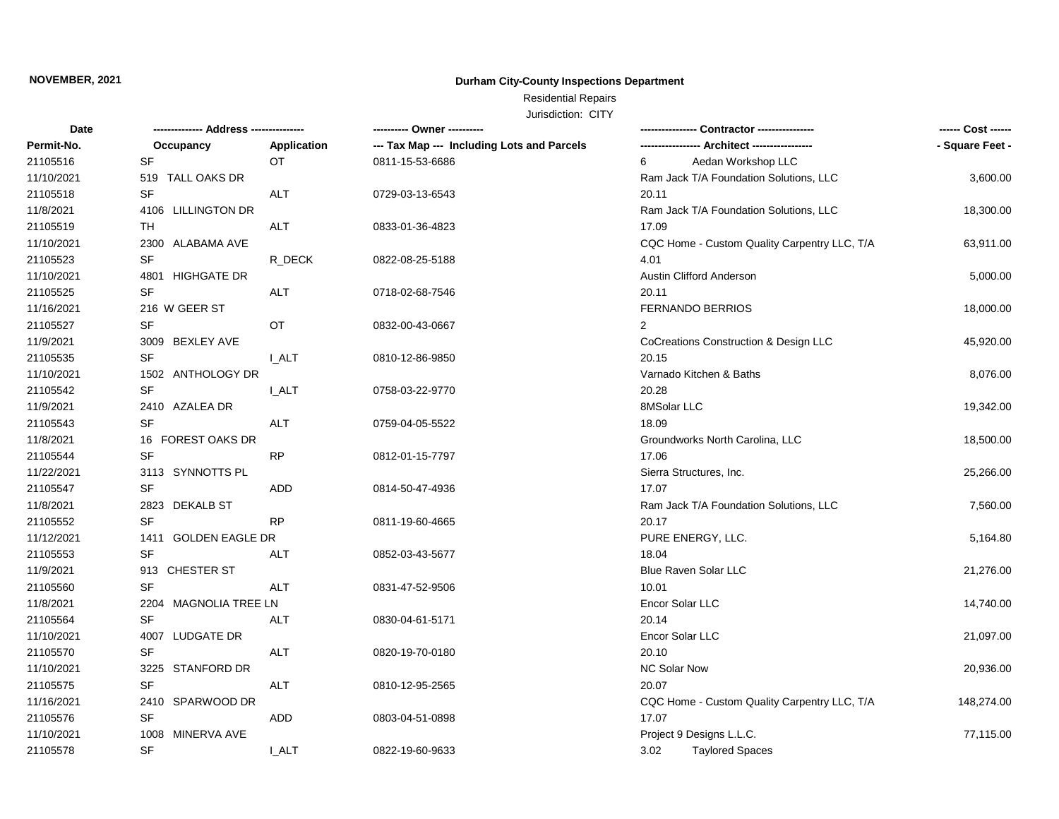## **Durham City-County Inspections Department**

# Residential Repairs

| <b>Date</b> | -------------- Address --------------- |              | ---------- Owner ----------                |                                              | ------ Cost ------ |
|-------------|----------------------------------------|--------------|--------------------------------------------|----------------------------------------------|--------------------|
| Permit-No.  | Occupancy                              | Application  | --- Tax Map --- Including Lots and Parcels | --- Architect -----------------              | - Square Feet -    |
| 21105516    | SF                                     | OT           | 0811-15-53-6686                            | Aedan Workshop LLC<br>6                      |                    |
| 11/10/2021  | 519 TALL OAKS DR                       |              |                                            | Ram Jack T/A Foundation Solutions, LLC       | 3,600.00           |
| 21105518    | SF                                     | ALT          | 0729-03-13-6543                            | 20.11                                        |                    |
| 11/8/2021   | 4106 LILLINGTON DR                     |              |                                            | Ram Jack T/A Foundation Solutions, LLC       | 18,300.00          |
| 21105519    | TH                                     | <b>ALT</b>   | 0833-01-36-4823                            | 17.09                                        |                    |
| 11/10/2021  | 2300 ALABAMA AVE                       |              |                                            | CQC Home - Custom Quality Carpentry LLC, T/A | 63,911.00          |
| 21105523    | SF                                     | R DECK       | 0822-08-25-5188                            | 4.01                                         |                    |
| 11/10/2021  | 4801 HIGHGATE DR                       |              |                                            | <b>Austin Clifford Anderson</b>              | 5,000.00           |
| 21105525    | <b>SF</b>                              | ALT          | 0718-02-68-7546                            | 20.11                                        |                    |
| 11/16/2021  | 216 W GEER ST                          |              |                                            | FERNANDO BERRIOS                             | 18,000.00          |
| 21105527    | SF                                     | OT           | 0832-00-43-0667                            | 2                                            |                    |
| 11/9/2021   | 3009 BEXLEY AVE                        |              |                                            | CoCreations Construction & Design LLC        | 45,920.00          |
| 21105535    | SF                                     | <b>I_ALT</b> | 0810-12-86-9850                            | 20.15                                        |                    |
| 11/10/2021  | 1502 ANTHOLOGY DR                      |              |                                            | Varnado Kitchen & Baths                      | 8,076.00           |
| 21105542    | <b>SF</b>                              | <b>I_ALT</b> | 0758-03-22-9770                            | 20.28                                        |                    |
| 11/9/2021   | 2410 AZALEA DR                         |              |                                            | 8MSolar LLC                                  | 19,342.00          |
| 21105543    | <b>SF</b>                              | ALT          | 0759-04-05-5522                            | 18.09                                        |                    |
| 11/8/2021   | 16 FOREST OAKS DR                      |              |                                            | Groundworks North Carolina, LLC              | 18,500.00          |
| 21105544    | <b>SF</b>                              | RP.          | 0812-01-15-7797                            | 17.06                                        |                    |
| 11/22/2021  | 3113 SYNNOTTS PL                       |              |                                            | Sierra Structures, Inc.                      | 25,266.00          |
| 21105547    | SF                                     | ADD          | 0814-50-47-4936                            | 17.07                                        |                    |
| 11/8/2021   | 2823 DEKALB ST                         |              |                                            | Ram Jack T/A Foundation Solutions, LLC       | 7,560.00           |
| 21105552    | <b>SF</b>                              | <b>RP</b>    | 0811-19-60-4665                            | 20.17                                        |                    |
| 11/12/2021  | 1411 GOLDEN EAGLE DR                   |              |                                            | PURE ENERGY, LLC.                            | 5,164.80           |
| 21105553    | SF                                     | ALT          | 0852-03-43-5677                            | 18.04                                        |                    |
| 11/9/2021   | 913 CHESTER ST                         |              |                                            | Blue Raven Solar LLC                         | 21,276.00          |
| 21105560    | <b>SF</b>                              | ALT          | 0831-47-52-9506                            | 10.01                                        |                    |
| 11/8/2021   | 2204 MAGNOLIA TREE LN                  |              |                                            | Encor Solar LLC                              | 14,740.00          |
| 21105564    | SF                                     | ALT          | 0830-04-61-5171                            | 20.14                                        |                    |
| 11/10/2021  | 4007 LUDGATE DR                        |              |                                            | Encor Solar LLC                              | 21,097.00          |
| 21105570    | <b>SF</b>                              | ALT          | 0820-19-70-0180                            | 20.10                                        |                    |
| 11/10/2021  | 3225 STANFORD DR                       |              |                                            | <b>NC Solar Now</b>                          | 20,936.00          |
| 21105575    | SF                                     | ALT          | 0810-12-95-2565                            | 20.07                                        |                    |
| 11/16/2021  | 2410 SPARWOOD DR                       |              |                                            | CQC Home - Custom Quality Carpentry LLC, T/A | 148,274.00         |
| 21105576    | <b>SF</b>                              | ADD          | 0803-04-51-0898                            | 17.07                                        |                    |
| 11/10/2021  | 1008 MINERVA AVE                       |              |                                            | Project 9 Designs L.L.C.                     | 77,115.00          |
| 21105578    | <b>SF</b>                              | <b>I_ALT</b> | 0822-19-60-9633                            | 3.02<br><b>Taylored Spaces</b>               |                    |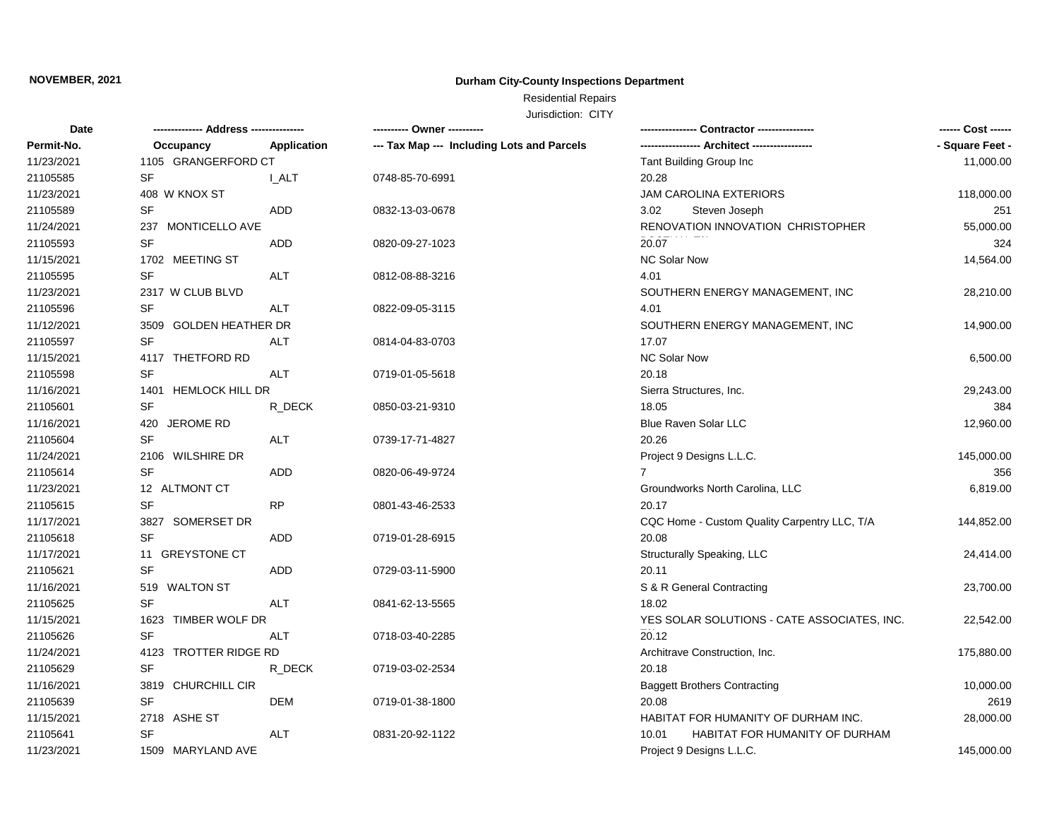## **Durham City-County Inspections Department**

# Residential Repairs

| Date       | ------------- Address -------------- |                    | --------- Owner ----------                 |                                              | ------ Cost ------ |
|------------|--------------------------------------|--------------------|--------------------------------------------|----------------------------------------------|--------------------|
| Permit-No. | Occupancy                            | <b>Application</b> | --- Tax Map --- Including Lots and Parcels |                                              | - Square Feet -    |
| 11/23/2021 | 1105 GRANGERFORD CT                  |                    |                                            | Tant Building Group Inc                      | 11,000.00          |
| 21105585   | SF                                   | I_ALT              | 0748-85-70-6991                            | 20.28                                        |                    |
| 11/23/2021 | 408 W KNOX ST                        |                    |                                            | <b>JAM CAROLINA EXTERIORS</b>                | 118,000.00         |
| 21105589   | SF                                   | <b>ADD</b>         | 0832-13-03-0678                            | 3.02<br>Steven Joseph                        | 251                |
| 11/24/2021 | 237 MONTICELLO AVE                   |                    |                                            | RENOVATION INNOVATION CHRISTOPHER            | 55,000.00          |
| 21105593   | <b>SF</b>                            | <b>ADD</b>         | 0820-09-27-1023                            | 20.07                                        | 324                |
| 11/15/2021 | 1702 MEETING ST                      |                    |                                            | <b>NC Solar Now</b>                          | 14,564.00          |
| 21105595   | <b>SF</b>                            | <b>ALT</b>         | 0812-08-88-3216                            | 4.01                                         |                    |
| 11/23/2021 | 2317 W CLUB BLVD                     |                    |                                            | SOUTHERN ENERGY MANAGEMENT, INC              | 28,210.00          |
| 21105596   | SF                                   | <b>ALT</b>         | 0822-09-05-3115                            | 4.01                                         |                    |
| 11/12/2021 | 3509 GOLDEN HEATHER DR               |                    |                                            | SOUTHERN ENERGY MANAGEMENT, INC              | 14,900.00          |
| 21105597   | <b>SF</b>                            | <b>ALT</b>         | 0814-04-83-0703                            | 17.07                                        |                    |
| 11/15/2021 | 4117 THETFORD RD                     |                    |                                            | NC Solar Now                                 | 6,500.00           |
| 21105598   | <b>SF</b>                            | <b>ALT</b>         | 0719-01-05-5618                            | 20.18                                        |                    |
| 11/16/2021 | 1401 HEMLOCK HILL DR                 |                    |                                            | Sierra Structures, Inc.                      | 29,243.00          |
| 21105601   | SF                                   | R_DECK             | 0850-03-21-9310                            | 18.05                                        | 384                |
| 11/16/2021 | 420 JEROME RD                        |                    |                                            | <b>Blue Raven Solar LLC</b>                  | 12,960.00          |
| 21105604   | <b>SF</b>                            | ALT                | 0739-17-71-4827                            | 20.26                                        |                    |
| 11/24/2021 | 2106 WILSHIRE DR                     |                    |                                            | Project 9 Designs L.L.C.                     | 145,000.00         |
| 21105614   | SF                                   | <b>ADD</b>         | 0820-06-49-9724                            |                                              | 356                |
| 11/23/2021 | 12 ALTMONT CT                        |                    |                                            | Groundworks North Carolina, LLC              | 6,819.00           |
| 21105615   | SF                                   | RP                 | 0801-43-46-2533                            | 20.17                                        |                    |
| 11/17/2021 | 3827 SOMERSET DR                     |                    |                                            | CQC Home - Custom Quality Carpentry LLC, T/A | 144,852.00         |
| 21105618   | <b>SF</b>                            | ADD                | 0719-01-28-6915                            | 20.08                                        |                    |
| 11/17/2021 | 11 GREYSTONE CT                      |                    |                                            | Structurally Speaking, LLC                   | 24,414.00          |
| 21105621   | <b>SF</b>                            | <b>ADD</b>         | 0729-03-11-5900                            | 20.11                                        |                    |
| 11/16/2021 | 519 WALTON ST                        |                    |                                            | S & R General Contracting                    | 23,700.00          |
| 21105625   | <b>SF</b>                            | <b>ALT</b>         | 0841-62-13-5565                            | 18.02                                        |                    |
| 11/15/2021 | 1623 TIMBER WOLF DR                  |                    |                                            | YES SOLAR SOLUTIONS - CATE ASSOCIATES, INC.  | 22,542.00          |
| 21105626   | SF                                   | <b>ALT</b>         | 0718-03-40-2285                            | 20.12                                        |                    |
| 11/24/2021 | 4123 TROTTER RIDGE RD                |                    |                                            | Architrave Construction, Inc.                | 175,880.00         |
| 21105629   | SF                                   | R DECK             | 0719-03-02-2534                            | 20.18                                        |                    |
| 11/16/2021 | 3819 CHURCHILL CIR                   |                    |                                            | <b>Baggett Brothers Contracting</b>          | 10,000.00          |
| 21105639   | <b>SF</b>                            | <b>DEM</b>         | 0719-01-38-1800                            | 20.08                                        | 2619               |
| 11/15/2021 | 2718 ASHE ST                         |                    |                                            | HABITAT FOR HUMANITY OF DURHAM INC.          | 28,000.00          |
| 21105641   | <b>SF</b>                            | <b>ALT</b>         | 0831-20-92-1122                            | HABITAT FOR HUMANITY OF DURHAM<br>10.01      |                    |
| 11/23/2021 | 1509 MARYLAND AVE                    |                    |                                            | Project 9 Designs L.L.C.                     | 145,000.00         |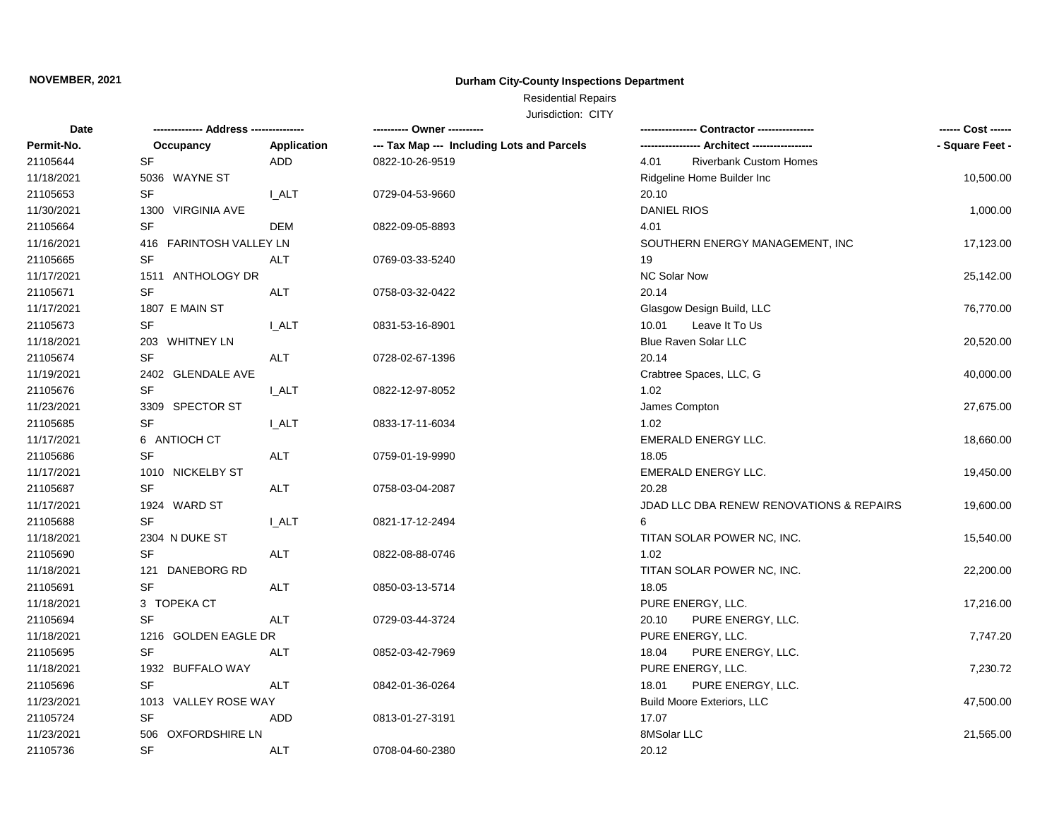## **Durham City-County Inspections Department**

# Residential Repairs

| Date       | -------------- Address --------------- |              | --------- Owner ---------                  | Contractor ---------------               | ------ Cost ------ |
|------------|----------------------------------------|--------------|--------------------------------------------|------------------------------------------|--------------------|
| Permit-No. | Occupancy                              | Application  | --- Tax Map --- Including Lots and Parcels |                                          | - Square Feet -    |
| 21105644   | SF                                     | ADD          | 0822-10-26-9519                            | <b>Riverbank Custom Homes</b><br>4.01    |                    |
| 11/18/2021 | 5036 WAYNE ST                          |              |                                            | Ridgeline Home Builder Inc               | 10,500.00          |
| 21105653   | <b>SF</b>                              | I ALT        | 0729-04-53-9660                            | 20.10                                    |                    |
| 11/30/2021 | 1300 VIRGINIA AVE                      |              |                                            | <b>DANIEL RIOS</b>                       | 1,000.00           |
| 21105664   | <b>SF</b>                              | <b>DEM</b>   | 0822-09-05-8893                            | 4.01                                     |                    |
| 11/16/2021 | 416 FARINTOSH VALLEY LN                |              |                                            | SOUTHERN ENERGY MANAGEMENT, INC          | 17,123.00          |
| 21105665   | SF                                     | ALT          | 0769-03-33-5240                            | 19                                       |                    |
| 11/17/2021 | 1511 ANTHOLOGY DR                      |              |                                            | <b>NC Solar Now</b>                      | 25,142.00          |
| 21105671   | SF                                     | <b>ALT</b>   | 0758-03-32-0422                            | 20.14                                    |                    |
| 11/17/2021 | 1807 E MAIN ST                         |              |                                            | Glasgow Design Build, LLC                | 76,770.00          |
| 21105673   | <b>SF</b>                              | I ALT        | 0831-53-16-8901                            | Leave It To Us<br>10.01                  |                    |
| 11/18/2021 | 203 WHITNEY LN                         |              |                                            | Blue Raven Solar LLC                     | 20,520.00          |
| 21105674   | <b>SF</b>                              | <b>ALT</b>   | 0728-02-67-1396                            | 20.14                                    |                    |
| 11/19/2021 | 2402 GLENDALE AVE                      |              |                                            | Crabtree Spaces, LLC, G                  | 40,000.00          |
| 21105676   | <b>SF</b>                              | <b>I_ALT</b> | 0822-12-97-8052                            | 1.02                                     |                    |
| 11/23/2021 | 3309 SPECTOR ST                        |              |                                            | James Compton                            | 27,675.00          |
| 21105685   | <b>SF</b>                              | I ALT        | 0833-17-11-6034                            | 1.02                                     |                    |
| 11/17/2021 | 6 ANTIOCH CT                           |              |                                            | EMERALD ENERGY LLC.                      | 18,660.00          |
| 21105686   | <b>SF</b>                              | ALT          | 0759-01-19-9990                            | 18.05                                    |                    |
| 11/17/2021 | 1010 NICKELBY ST                       |              |                                            | <b>EMERALD ENERGY LLC.</b>               | 19,450.00          |
| 21105687   | SF                                     | <b>ALT</b>   | 0758-03-04-2087                            | 20.28                                    |                    |
| 11/17/2021 | 1924 WARD ST                           |              |                                            | JDAD LLC DBA RENEW RENOVATIONS & REPAIRS | 19,600.00          |
| 21105688   | <b>SF</b>                              | I ALT        | 0821-17-12-2494                            | 6                                        |                    |
| 11/18/2021 | 2304 N DUKE ST                         |              |                                            | TITAN SOLAR POWER NC, INC.               | 15,540.00          |
| 21105690   | <b>SF</b>                              | ALT          | 0822-08-88-0746                            | 1.02                                     |                    |
| 11/18/2021 | 121 DANEBORG RD                        |              |                                            | TITAN SOLAR POWER NC, INC.               | 22,200.00          |
| 21105691   | <b>SF</b>                              | <b>ALT</b>   | 0850-03-13-5714                            | 18.05                                    |                    |
| 11/18/2021 | 3 TOPEKA CT                            |              |                                            | PURE ENERGY, LLC.                        | 17,216.00          |
| 21105694   | <b>SF</b>                              | <b>ALT</b>   | 0729-03-44-3724                            | 20.10<br>PURE ENERGY, LLC.               |                    |
| 11/18/2021 | 1216 GOLDEN EAGLE DR                   |              |                                            | PURE ENERGY, LLC.                        | 7,747.20           |
| 21105695   | <b>SF</b>                              | ALT          | 0852-03-42-7969                            | PURE ENERGY, LLC.<br>18.04               |                    |
| 11/18/2021 | 1932 BUFFALO WAY                       |              |                                            | PURE ENERGY, LLC.                        | 7,230.72           |
| 21105696   | SF                                     | ALT          | 0842-01-36-0264                            | 18.01<br>PURE ENERGY, LLC.               |                    |
| 11/23/2021 | 1013 VALLEY ROSE WAY                   |              |                                            | Build Moore Exteriors, LLC               | 47,500.00          |
| 21105724   | <b>SF</b>                              | <b>ADD</b>   | 0813-01-27-3191                            | 17.07                                    |                    |
| 11/23/2021 | 506 OXFORDSHIRE LN                     |              |                                            | 8MSolar LLC                              | 21,565.00          |
| 21105736   | <b>SF</b>                              | ALT          | 0708-04-60-2380                            | 20.12                                    |                    |